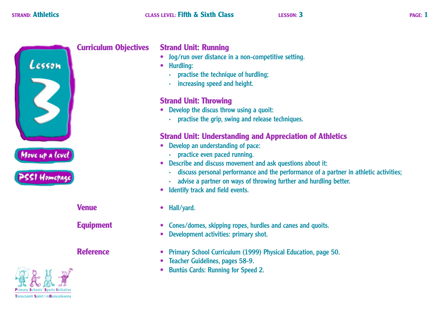

## **Curriculum Objectives**

# **Strand Unit: Running**

- Jog/run over distance in a non-competitive setting.
- Hurdling:
	- · practise the technique of hurdling;
	- · increasing speed and height.

# **Strand Unit: Throwing**

- Develop the discus throw using a quoit:
	- · practise the grip, swing and release techniques.

# **Strand Unit: Understanding and Appreciation of Athletics**

- Develop an understanding of pace:
	- · practice even paced running.
- Describe and discuss movement and ask questions about it:
	- · discuss personal performance and the performance of a partner in athletic activities;
	- advise a partner on ways of throwing further and hurdling better.
- Identify track and field events.  $\bullet$
- Hall/yard.
- Cones/domes, skipping ropes, hurdles and canes and quoits.  $\bullet$
- Development activities: primary shot.
- Primary School Curriculum (1999) Physical Education, page 50.
- Teacher Guidelines, pages 58-9.
- Buntús Cards: Running for Speed 2.

**Venue** 

**Equipment** 

**Reference** 

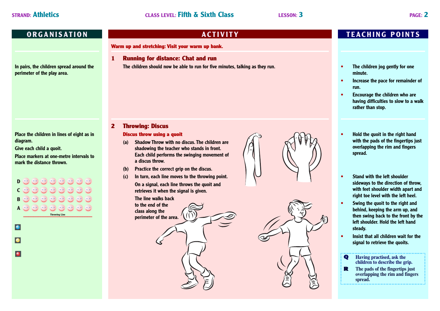**In pairs, the children spread around the perimeter of the play area.**

**Place the children in lines of eight as in diagram.**

**Give each child a quoit.**

**Place markers at one-metre intervals to mark the distance thrown.**

 $\begin{pmatrix} 0 & 0 \\ 0 & 0 \end{pmatrix} \begin{pmatrix} 0 & 0 \\ 0 & 0 \end{pmatrix} \begin{pmatrix} 0 & 0 \\ 0 & 0 \end{pmatrix}$ **D**  $\begin{pmatrix} 0 & 0 \\ 0 & 0 \end{pmatrix} \begin{pmatrix} 0 & 0 \\ 0 & 0 \end{pmatrix} \begin{pmatrix} 0 & 0 \\ 0 & 0 \end{pmatrix} \begin{pmatrix} 0 & 0 \\ 0 & 0 \end{pmatrix}$ **C B AThrowing Line ––––––––––––––––––––––––––––** lo lo Ы

**Warm up and stretching: Visit your warm up bank.**

**1 Running for distance: Chat and run The children should now be able to run for five minutes, talking as they run.**

## **2 Throwing: Discus**

## **Discus throw using a quoit**

- **(a) Shadow Throw with no discus. The children are shadowing the teacher who stands in front. Each child performs the swinging movement of a discus throw.**
- **(b) Practice the correct grip on the discus.**
- **(c) In turn, each line moves to the throwing point. On a signal, each line throws the quoit and retrieves it when the signal is given.**

**The line walks back** 

# **to the end of the class along the perimeter of the area.**





# **ORGANISATION IN TEACHING POINTS**

- **• The children jog gently for one minute.**
- **• Increase the pace for remainder of run.**
- **• Encourage the children who are having difficulties to slow to a walk rather than stop.**
- **• Hold the quoit in the right hand with the pads of the fingertips just overlapping the rim and fingers spread.**
- **• Stand with the left shoulder sideways to the direction of throw, with feet shoulder width apart and right toe level with the left heel.**
- **• Swing the quoit to the right and behind, keeping the arm up, and then swing back to the front by the left shoulder. Hold the left hand steady.**
- **• Insist that all children wait for the signal to retrieve the quoits.**
- **Q Having practised, ask the children to describe the grip.**
- **R The pads of the fingertips just overlapping the rim and fingers spread.**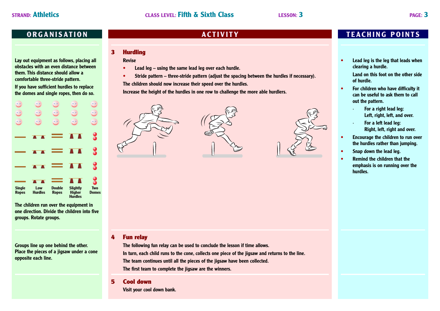**Lay out equipment as follows, placing all obstacles with an even distance between them. This distance should allow a comfortable three-stride pattern.**

**If you have sufficient hurdles to replace the domes and single ropes, then do so.**



**The children run over the equipment in one direction. Divide the children into five groups. Rotate groups.**

**Groups line up one behind the other. Place the pieces of a jigsaw under a cone opposite each line.**

## **3 Hurdling**

**Revise**

- **• Lead leg using the same lead leg over each hurdle.**
- **• Stride pattern three-stride pattern (adjust the spacing between the hurdles if necessary).**

**The children should now increase their speed over the hurdles.**

**Increase the height of the hurdles in one row to challenge the more able hurdlers.**







## **4 Fun relay**

**The following fun relay can be used to conclude the lesson if time allows. In turn, each child runs to the cone, collects one piece of the jigsaw and returns to the line. The team continues until all the pieces of the jigsaw have been collected. The first team to complete the jigsaw are the winners.**

## **5 Cool down**

**Visit your cool down bank.**

# **ORGANISATION IN TEACHING POINTS**

**• Lead leg is the leg that leads when clearing a hurdle.**

**Land on this foot on the other side of hurdle.**

- **• For children who have difficulty it can be useful to ask them to call out the pattern.**
	- **· For a right lead leg: Left, right, left, and over.**
	- **· For a left lead leg: Right, left, right and over.**
- **• Encourage the children to run over the hurdles rather than jumping.**
- **• Snap down the lead leg.**
- **• Remind the children that the emphasis is on running over the hurdles.**